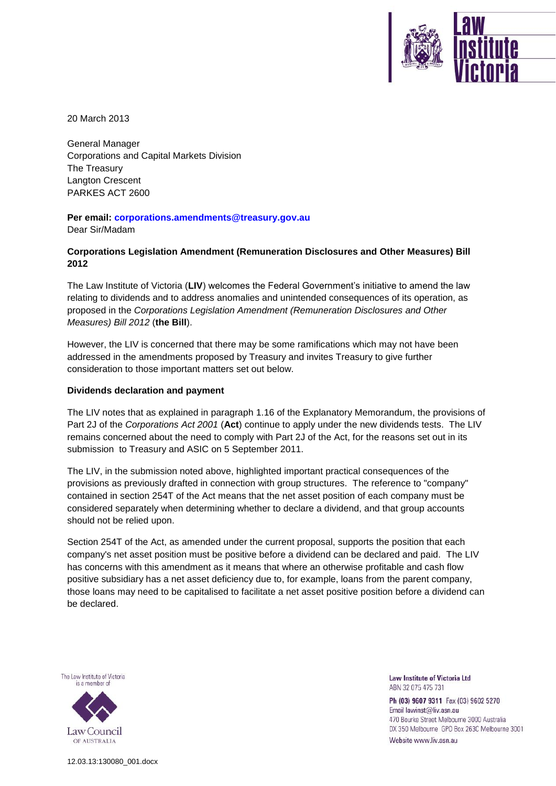20 March 2013

General Manager Corporations and Capital Markets Division The Treasury Langton Crescent PARKES ACT 2600

**Per email: [corporations.amendments@treasury.gov.au](mailto:corporations.amendments@treasury.gov.au)** Dear Sir/Madam

# **Corporations Legislation Amendment (Remuneration Disclosures and Other Measures) Bill 2012**

The Law Institute of Victoria (**LIV**) welcomes the Federal Government's initiative to amend the law relating to dividends and to address anomalies and unintended consequences of its operation, as proposed in the *Corporations Legislation Amendment (Remuneration Disclosures and Other Measures) Bill 2012* (**the Bill**).

However, the LIV is concerned that there may be some ramifications which may not have been addressed in the amendments proposed by Treasury and invites Treasury to give further consideration to those important matters set out below.

## **Dividends declaration and payment**

The LIV notes that as explained in paragraph 1.16 of the Explanatory Memorandum, the provisions of Part 2J of the *Corporations Act 2001* (**Act**) continue to apply under the new dividends tests. The LIV remains concerned about the need to comply with Part 2J of the Act, for the reasons set out in its submission to Treasury and ASIC on 5 September 2011.

The LIV, in the submission noted above, highlighted important practical consequences of the provisions as previously drafted in connection with group structures. The reference to "company" contained in section 254T of the Act means that the net asset position of each company must be considered separately when determining whether to declare a dividend, and that group accounts should not be relied upon.

Section 254T of the Act, as amended under the current proposal, supports the position that each company's net asset position must be positive before a dividend can be declared and paid. The LIV has concerns with this amendment as it means that where an otherwise profitable and cash flow positive subsidiary has a net asset deficiency due to, for example, loans from the parent company, those loans may need to be capitalised to facilitate a net asset positive position before a dividend can be declared.



**Law Institute of Victoria Ltd** ABN 32 075 475 731

Ph (03) 9607 9311 Fax (03) 9602 5270 Email lawinst@liv.asn.au 470 Bourke Street Melbourne 3000 Australia DX 350 Melbourne GPO Box 263C Melbourne 3001 Website www.liv.asn.au